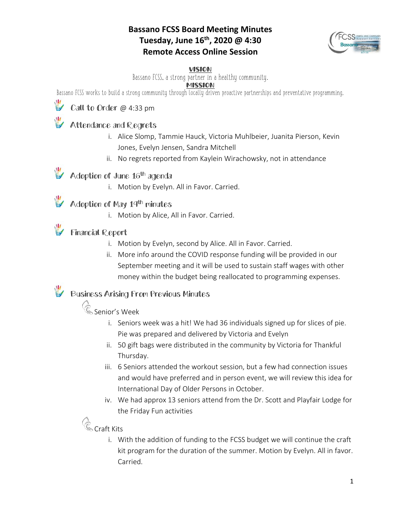### **Bassano FCSS Board Meeting Minutes Tuesday, June 16th, 2020 @ 4:30 Remote Access Online Session**



#### VISION

Bassano FCSS, a strong partner in a healthy community.

#### **MISSION**

Bassano FCSS works to build a strong community through locally driven proactive partnerships and preventative programming.

### Call to Order @ 4:33 pm

### Attendance and Regrets

- i. Alice Slomp, Tammie Hauck, Victoria Muhlbeier, Juanita Pierson, Kevin Jones, Evelyn Jensen, Sandra Mitchell
- ii. No regrets reported from Kaylein Wirachowsky, not in attendance

### Adoption of June 16<sup>th</sup> agenda

i. Motion by Evelyn. All in Favor. Carried.

### Adoption of May 19th minutes

i. Motion by Alice, All in Favor. Carried.

### Financial Report

- i. Motion by Evelyn, second by Alice. All in Favor. Carried.
- ii. More info around the COVID response funding will be provided in our September meeting and it will be used to sustain staff wages with other money within the budget being reallocated to programming expenses.

### Business Arising From Previous Minutes

# Senior's Week

- i. Seniors week was a hit! We had 36 individuals signed up for slices of pie. Pie was prepared and delivered by Victoria and Evelyn
- ii. 50 gift bags were distributed in the community by Victoria for Thankful Thursday.
- iii. 6 Seniors attended the workout session, but a few had connection issues and would have preferred and in person event, we will review this idea for International Day of Older Persons in October.
- iv. We had approx 13 seniors attend from the Dr. Scott and Playfair Lodge for the Friday Fun activities

## **Craft Kits**

i. With the addition of funding to the FCSS budget we will continue the craft kit program for the duration of the summer. Motion by Evelyn. All in favor. Carried.